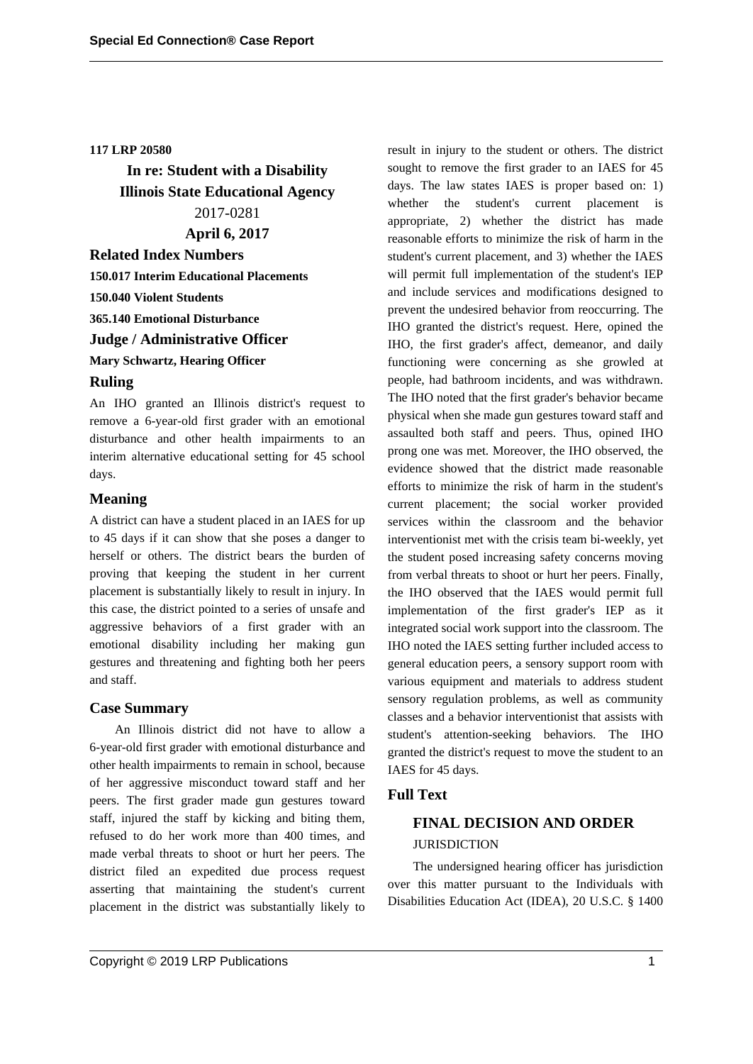## **117 LRP 20580**

**In re: Student with a Disability Illinois State Educational Agency** 2017-0281

# **April 6, 2017**

**Related Index Numbers 150.017 Interim Educational Placements 150.040 Violent Students 365.140 Emotional Disturbance Judge / Administrative Officer Mary Schwartz, Hearing Officer Ruling**

An IHO granted an Illinois district's request to remove a 6-year-old first grader with an emotional disturbance and other health impairments to an interim alternative educational setting for 45 school days.

# **Meaning**

A district can have a student placed in an IAES for up to 45 days if it can show that she poses a danger to herself or others. The district bears the burden of proving that keeping the student in her current placement is substantially likely to result in injury. In this case, the district pointed to a series of unsafe and aggressive behaviors of a first grader with an emotional disability including her making gun gestures and threatening and fighting both her peers and staff.

#### **Case Summary**

An Illinois district did not have to allow a 6-year-old first grader with emotional disturbance and other health impairments to remain in school, because of her aggressive misconduct toward staff and her peers. The first grader made gun gestures toward staff, injured the staff by kicking and biting them, refused to do her work more than 400 times, and made verbal threats to shoot or hurt her peers. The district filed an expedited due process request asserting that maintaining the student's current placement in the district was substantially likely to result in injury to the student or others. The district sought to remove the first grader to an IAES for 45 days. The law states IAES is proper based on: 1) whether the student's current placement is appropriate, 2) whether the district has made reasonable efforts to minimize the risk of harm in the student's current placement, and 3) whether the IAES will permit full implementation of the student's IEP and include services and modifications designed to prevent the undesired behavior from reoccurring. The IHO granted the district's request. Here, opined the IHO, the first grader's affect, demeanor, and daily functioning were concerning as she growled at people, had bathroom incidents, and was withdrawn. The IHO noted that the first grader's behavior became physical when she made gun gestures toward staff and assaulted both staff and peers. Thus, opined IHO prong one was met. Moreover, the IHO observed, the evidence showed that the district made reasonable efforts to minimize the risk of harm in the student's current placement; the social worker provided services within the classroom and the behavior interventionist met with the crisis team bi-weekly, yet the student posed increasing safety concerns moving from verbal threats to shoot or hurt her peers. Finally, the IHO observed that the IAES would permit full implementation of the first grader's IEP as it integrated social work support into the classroom. The IHO noted the IAES setting further included access to general education peers, a sensory support room with various equipment and materials to address student sensory regulation problems, as well as community classes and a behavior interventionist that assists with student's attention-seeking behaviors. The IHO granted the district's request to move the student to an IAES for 45 days.

## **Full Text**

# **FINAL DECISION AND ORDER JURISDICTION**

The undersigned hearing officer has jurisdiction over this matter pursuant to the Individuals with Disabilities Education Act (IDEA), 20 U.S.C. § 1400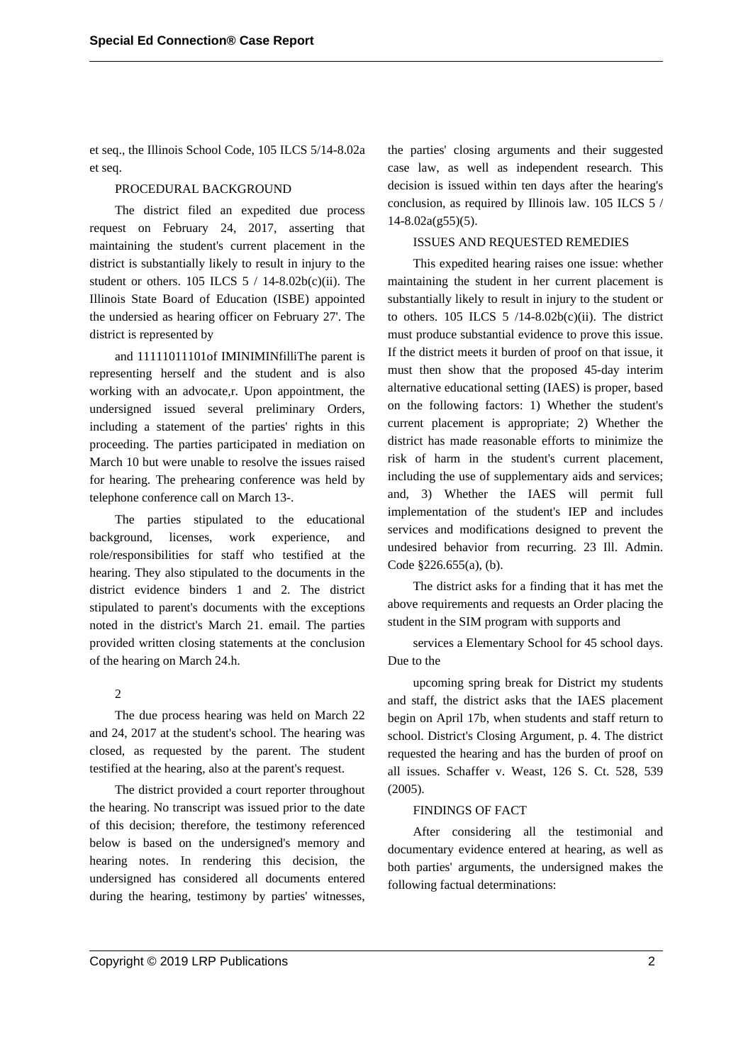et seq., the Illinois School Code, 105 ILCS 5/14-8.02a et seq.

## PROCEDURAL BACKGROUND

The district filed an expedited due process request on February 24, 2017, asserting that maintaining the student's current placement in the district is substantially likely to result in injury to the student or others.  $105$  ILCS  $5 / 14 - 8.02b(c)(ii)$ . The Illinois State Board of Education (ISBE) appointed the undersied as hearing officer on February 27'. The district is represented by

and 11111011101of IMINIMINfilliThe parent is representing herself and the student and is also working with an advocate,r. Upon appointment, the undersigned issued several preliminary Orders, including a statement of the parties' rights in this proceeding. The parties participated in mediation on March 10 but were unable to resolve the issues raised for hearing. The prehearing conference was held by telephone conference call on March 13-.

The parties stipulated to the educational background, licenses, work experience, and role/responsibilities for staff who testified at the hearing. They also stipulated to the documents in the district evidence binders 1 and 2. The district stipulated to parent's documents with the exceptions noted in the district's March 21. email. The parties provided written closing statements at the conclusion of the hearing on March 24.h.

 $\mathcal{D}_{\alpha}$ 

The due process hearing was held on March 22 and 24, 2017 at the student's school. The hearing was closed, as requested by the parent. The student testified at the hearing, also at the parent's request.

The district provided a court reporter throughout the hearing. No transcript was issued prior to the date of this decision; therefore, the testimony referenced below is based on the undersigned's memory and hearing notes. In rendering this decision, the undersigned has considered all documents entered during the hearing, testimony by parties' witnesses,

the parties' closing arguments and their suggested case law, as well as independent research. This decision is issued within ten days after the hearing's conclusion, as required by Illinois law. 105 ILCS 5 /  $14 - 8.02a(g55)(5)$ .

## ISSUES AND REQUESTED REMEDIES

This expedited hearing raises one issue: whether maintaining the student in her current placement is substantially likely to result in injury to the student or to others.  $105$  ILCS  $5$  /14-8.02b(c)(ii). The district must produce substantial evidence to prove this issue. If the district meets it burden of proof on that issue, it must then show that the proposed 45-day interim alternative educational setting (IAES) is proper, based on the following factors: 1) Whether the student's current placement is appropriate; 2) Whether the district has made reasonable efforts to minimize the risk of harm in the student's current placement, including the use of supplementary aids and services; and, 3) Whether the IAES will permit full implementation of the student's IEP and includes services and modifications designed to prevent the undesired behavior from recurring. 23 Ill. Admin. Code §226.655(a), (b).

The district asks for a finding that it has met the above requirements and requests an Order placing the student in the SIM program with supports and

services a Elementary School for 45 school days. Due to the

upcoming spring break for District my students and staff, the district asks that the IAES placement begin on April 17b, when students and staff return to school. District's Closing Argument, p. 4. The district requested the hearing and has the burden of proof on all issues. Schaffer v. Weast, 126 S. Ct. 528, 539 (2005).

#### FINDINGS OF FACT

After considering all the testimonial and documentary evidence entered at hearing, as well as both parties' arguments, the undersigned makes the following factual determinations: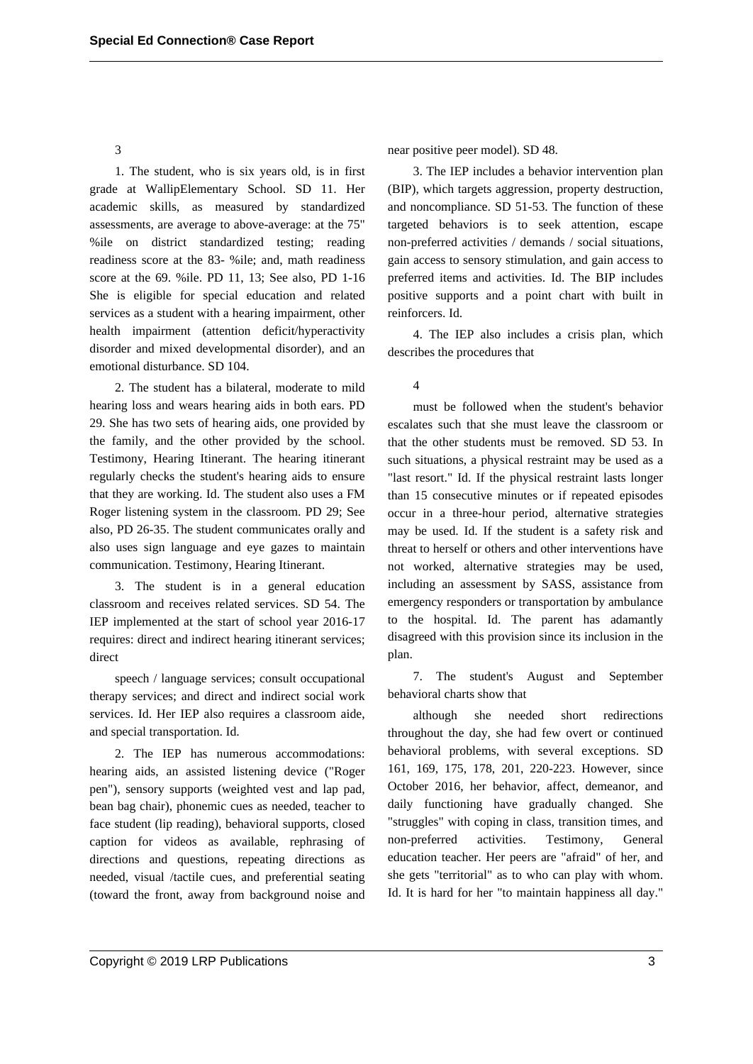3

1. The student, who is six years old, is in first grade at WallipElementary School. SD 11. Her academic skills, as measured by standardized assessments, are average to above-average: at the 75" %ile on district standardized testing; reading readiness score at the 83- %ile; and, math readiness score at the 69. %ile. PD 11, 13; See also, PD 1-16 She is eligible for special education and related services as a student with a hearing impairment, other health impairment (attention deficit/hyperactivity disorder and mixed developmental disorder), and an emotional disturbance. SD 104.

2. The student has a bilateral, moderate to mild hearing loss and wears hearing aids in both ears. PD 29. She has two sets of hearing aids, one provided by the family, and the other provided by the school. Testimony, Hearing Itinerant. The hearing itinerant regularly checks the student's hearing aids to ensure that they are working. Id. The student also uses a FM Roger listening system in the classroom. PD 29; See also, PD 26-35. The student communicates orally and also uses sign language and eye gazes to maintain communication. Testimony, Hearing Itinerant.

3. The student is in a general education classroom and receives related services. SD 54. The IEP implemented at the start of school year 2016-17 requires: direct and indirect hearing itinerant services; direct

speech / language services; consult occupational therapy services; and direct and indirect social work services. Id. Her IEP also requires a classroom aide, and special transportation. Id.

2. The IEP has numerous accommodations: hearing aids, an assisted listening device ("Roger pen"), sensory supports (weighted vest and lap pad, bean bag chair), phonemic cues as needed, teacher to face student (lip reading), behavioral supports, closed caption for videos as available, rephrasing of directions and questions, repeating directions as needed, visual /tactile cues, and preferential seating (toward the front, away from background noise and near positive peer model). SD 48.

3. The IEP includes a behavior intervention plan (BIP), which targets aggression, property destruction, and noncompliance. SD 51-53. The function of these targeted behaviors is to seek attention, escape non-preferred activities / demands / social situations, gain access to sensory stimulation, and gain access to preferred items and activities. Id. The BIP includes positive supports and a point chart with built in reinforcers. Id.

4. The IEP also includes a crisis plan, which describes the procedures that

4

must be followed when the student's behavior escalates such that she must leave the classroom or that the other students must be removed. SD 53. In such situations, a physical restraint may be used as a "last resort." Id. If the physical restraint lasts longer than 15 consecutive minutes or if repeated episodes occur in a three-hour period, alternative strategies may be used. Id. If the student is a safety risk and threat to herself or others and other interventions have not worked, alternative strategies may be used, including an assessment by SASS, assistance from emergency responders or transportation by ambulance to the hospital. Id. The parent has adamantly disagreed with this provision since its inclusion in the plan.

7. The student's August and September behavioral charts show that

although she needed short redirections throughout the day, she had few overt or continued behavioral problems, with several exceptions. SD 161, 169, 175, 178, 201, 220-223. However, since October 2016, her behavior, affect, demeanor, and daily functioning have gradually changed. She "struggles" with coping in class, transition times, and non-preferred activities. Testimony, General education teacher. Her peers are "afraid" of her, and she gets "territorial" as to who can play with whom. Id. It is hard for her "to maintain happiness all day."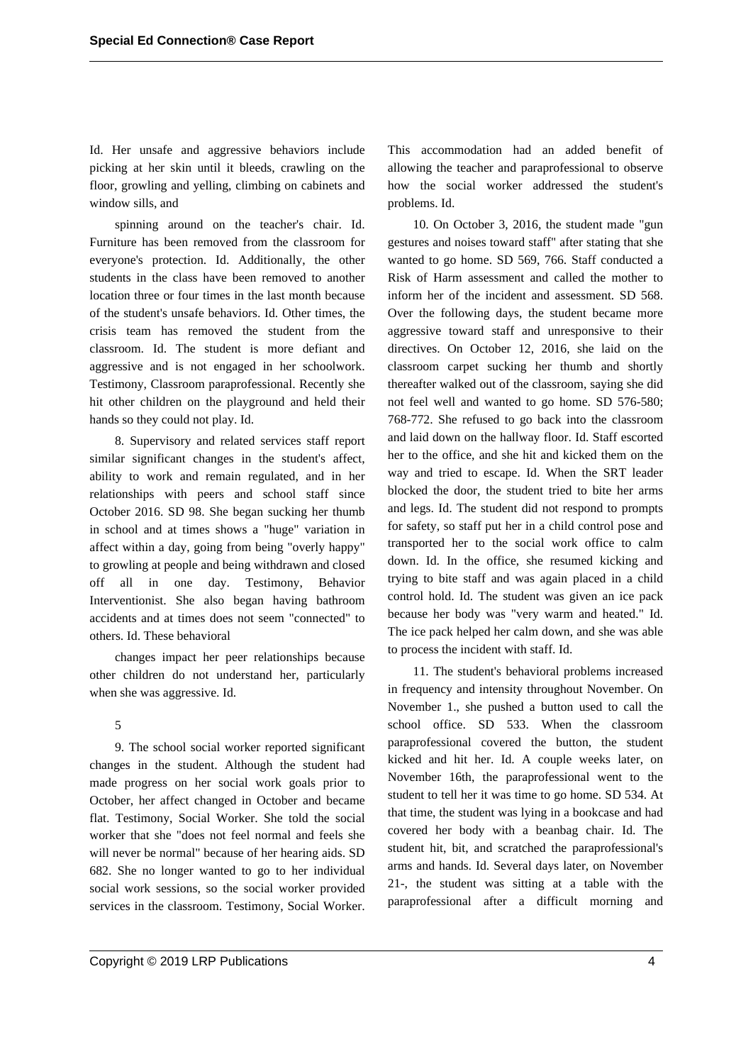Id. Her unsafe and aggressive behaviors include picking at her skin until it bleeds, crawling on the floor, growling and yelling, climbing on cabinets and window sills, and

spinning around on the teacher's chair. Id. Furniture has been removed from the classroom for everyone's protection. Id. Additionally, the other students in the class have been removed to another location three or four times in the last month because of the student's unsafe behaviors. Id. Other times, the crisis team has removed the student from the classroom. Id. The student is more defiant and aggressive and is not engaged in her schoolwork. Testimony, Classroom paraprofessional. Recently she hit other children on the playground and held their hands so they could not play. Id.

8. Supervisory and related services staff report similar significant changes in the student's affect, ability to work and remain regulated, and in her relationships with peers and school staff since October 2016. SD 98. She began sucking her thumb in school and at times shows a "huge" variation in affect within a day, going from being "overly happy" to growling at people and being withdrawn and closed off all in one day. Testimony, Behavior Interventionist. She also began having bathroom accidents and at times does not seem "connected" to others. Id. These behavioral

changes impact her peer relationships because other children do not understand her, particularly when she was aggressive. Id.

#### 5

9. The school social worker reported significant changes in the student. Although the student had made progress on her social work goals prior to October, her affect changed in October and became flat. Testimony, Social Worker. She told the social worker that she "does not feel normal and feels she will never be normal" because of her hearing aids. SD 682. She no longer wanted to go to her individual social work sessions, so the social worker provided services in the classroom. Testimony, Social Worker.

This accommodation had an added benefit of allowing the teacher and paraprofessional to observe how the social worker addressed the student's problems. Id.

10. On October 3, 2016, the student made "gun gestures and noises toward staff" after stating that she wanted to go home. SD 569, 766. Staff conducted a Risk of Harm assessment and called the mother to inform her of the incident and assessment. SD 568. Over the following days, the student became more aggressive toward staff and unresponsive to their directives. On October 12, 2016, she laid on the classroom carpet sucking her thumb and shortly thereafter walked out of the classroom, saying she did not feel well and wanted to go home. SD 576-580; 768-772. She refused to go back into the classroom and laid down on the hallway floor. Id. Staff escorted her to the office, and she hit and kicked them on the way and tried to escape. Id. When the SRT leader blocked the door, the student tried to bite her arms and legs. Id. The student did not respond to prompts for safety, so staff put her in a child control pose and transported her to the social work office to calm down. Id. In the office, she resumed kicking and trying to bite staff and was again placed in a child control hold. Id. The student was given an ice pack because her body was "very warm and heated." Id. The ice pack helped her calm down, and she was able to process the incident with staff. Id.

11. The student's behavioral problems increased in frequency and intensity throughout November. On November 1., she pushed a button used to call the school office. SD 533. When the classroom paraprofessional covered the button, the student kicked and hit her. Id. A couple weeks later, on November 16th, the paraprofessional went to the student to tell her it was time to go home. SD 534. At that time, the student was lying in a bookcase and had covered her body with a beanbag chair. Id. The student hit, bit, and scratched the paraprofessional's arms and hands. Id. Several days later, on November 21-, the student was sitting at a table with the paraprofessional after a difficult morning and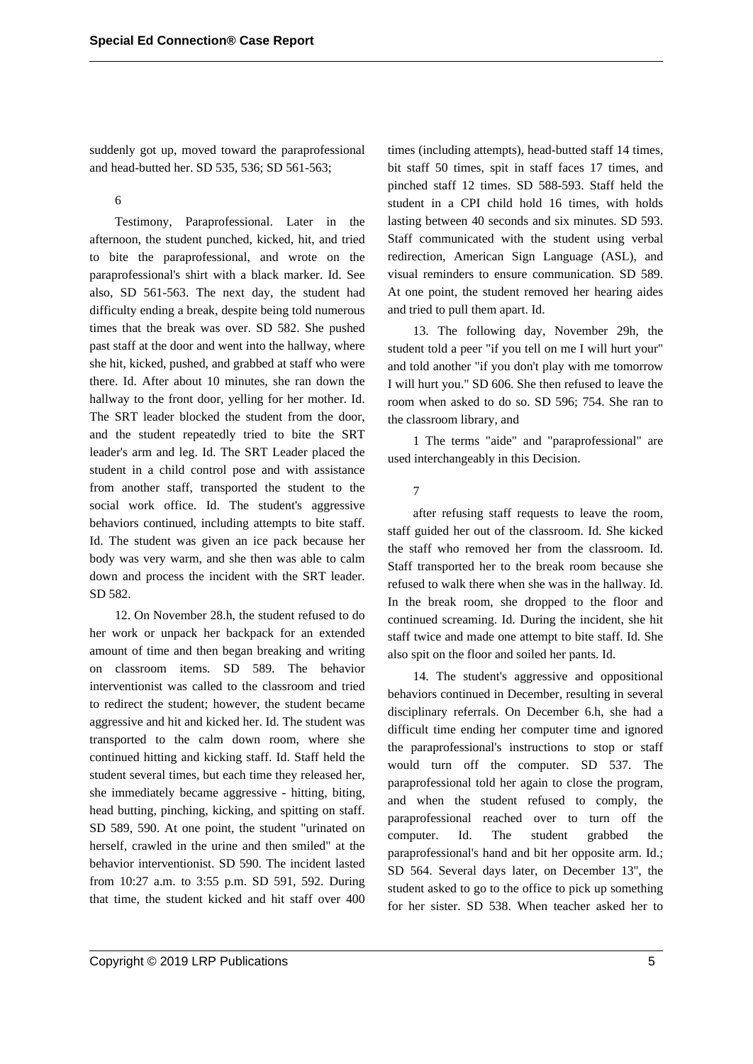suddenly got up, moved toward the paraprofessional and head-butted her. SD 535, 536; SD 561-563;

6

Testimony, Paraprofessional. Later in the afternoon, the student punched, kicked, hit, and tried to bite the paraprofessional, and wrote on the paraprofessional's shirt with a black marker. Id. See also, SD 561-563. The next day, the student had difficulty ending a break, despite being told numerous times that the break was over. SD 582. She pushed past staff at the door and went into the hallway, where she hit, kicked, pushed, and grabbed at staff who were there. Id. After about 10 minutes, she ran down the hallway to the front door, yelling for her mother. Id. The SRT leader blocked the student from the door, and the student repeatedly tried to bite the SRT leader's arm and leg. Id. The SRT Leader placed the student in a child control pose and with assistance from another staff, transported the student to the social work office. Id. The student's aggressive behaviors continued, including attempts to bite staff. Id. The student was given an ice pack because her body was very warm, and she then was able to calm down and process the incident with the SRT leader. SD 582.

12. On November 28.h, the student refused to do her work or unpack her backpack for an extended amount of time and then began breaking and writing on classroom items. SD 589. The behavior interventionist was called to the classroom and tried to redirect the student; however, the student became aggressive and hit and kicked her. Id. The student was transported to the calm down room, where she continued hitting and kicking staff. Id. Staff held the student several times, but each time they released her, she immediately became aggressive - hitting, biting, head butting, pinching, kicking, and spitting on staff. SD 589, 590. At one point, the student "urinated on herself, crawled in the urine and then smiled" at the behavior interventionist. SD 590. The incident lasted from 10:27 a.m. to 3:55 p.m. SD 591, 592. During that time, the student kicked and hit staff over 400

times (including attempts), head-butted staff 14 times, bit staff 50 times, spit in staff faces 17 times, and pinched staff 12 times. SD 588-593. Staff held the student in a CPI child hold 16 times, with holds lasting between 40 seconds and six minutes. SD 593. Staff communicated with the student using verbal redirection, American Sign Language (ASL), and visual reminders to ensure communication. SD 589. At one point, the student removed her hearing aides and tried to pull them apart. Id.

13. The following day, November 29h, the student told a peer "if you tell on me I will hurt your" and told another "if you don't play with me tomorrow I will hurt you." SD 606. She then refused to leave the room when asked to do so. SD 596; 754. She ran to the classroom library, and

1 The terms "aide" and "paraprofessional" are used interchangeably in this Decision.

7

after refusing staff requests to leave the room, staff guided her out of the classroom. Id. She kicked the staff who removed her from the classroom. Id. Staff transported her to the break room because she refused to walk there when she was in the hallway. Id. In the break room, she dropped to the floor and continued screaming. Id. During the incident, she hit staff twice and made one attempt to bite staff. Id. She also spit on the floor and soiled her pants. Id.

14. The student's aggressive and oppositional behaviors continued in December, resulting in several disciplinary referrals. On December 6.h, she had a difficult time ending her computer time and ignored the paraprofessional's instructions to stop or staff would turn off the computer. SD 537. The paraprofessional told her again to close the program, and when the student refused to comply, the paraprofessional reached over to turn off the computer. Id. The student grabbed the paraprofessional's hand and bit her opposite arm. Id.; SD 564. Several days later, on December 13'', the student asked to go to the office to pick up something for her sister. SD 538. When teacher asked her to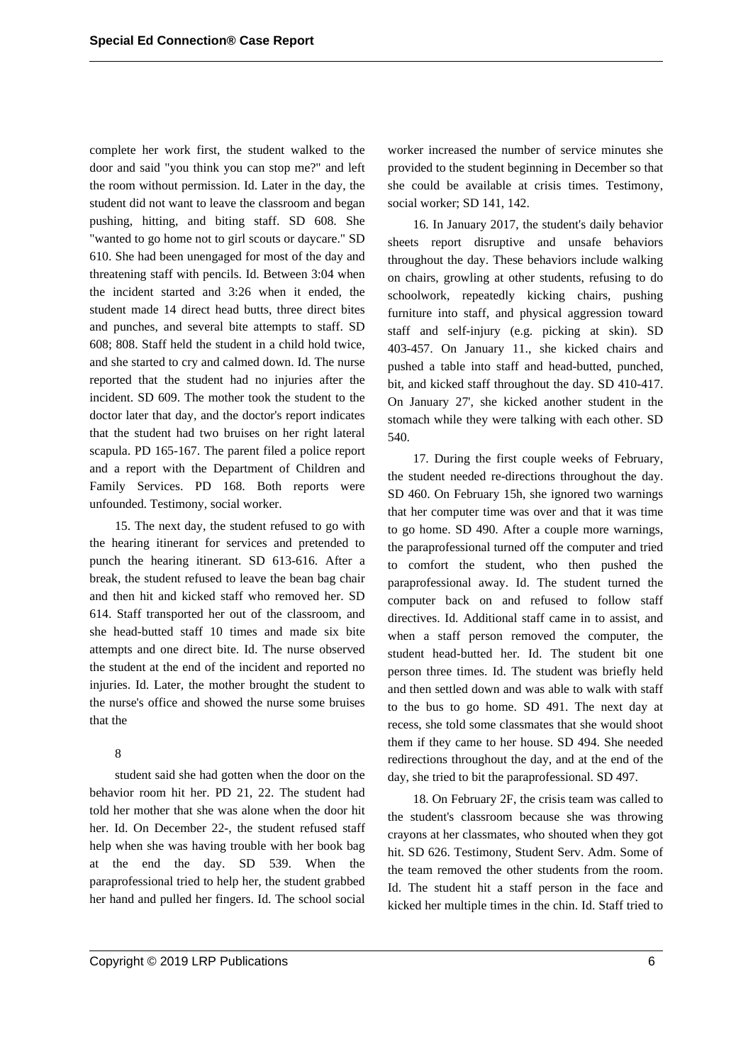complete her work first, the student walked to the door and said "you think you can stop me?" and left the room without permission. Id. Later in the day, the student did not want to leave the classroom and began pushing, hitting, and biting staff. SD 608. She "wanted to go home not to girl scouts or daycare." SD 610. She had been unengaged for most of the day and threatening staff with pencils. Id. Between 3:04 when the incident started and 3:26 when it ended, the student made 14 direct head butts, three direct bites and punches, and several bite attempts to staff. SD 608; 808. Staff held the student in a child hold twice, and she started to cry and calmed down. Id. The nurse reported that the student had no injuries after the incident. SD 609. The mother took the student to the doctor later that day, and the doctor's report indicates that the student had two bruises on her right lateral scapula. PD 165-167. The parent filed a police report and a report with the Department of Children and Family Services. PD 168. Both reports were unfounded. Testimony, social worker.

15. The next day, the student refused to go with the hearing itinerant for services and pretended to punch the hearing itinerant. SD 613-616. After a break, the student refused to leave the bean bag chair and then hit and kicked staff who removed her. SD 614. Staff transported her out of the classroom, and she head-butted staff 10 times and made six bite attempts and one direct bite. Id. The nurse observed the student at the end of the incident and reported no injuries. Id. Later, the mother brought the student to the nurse's office and showed the nurse some bruises that the

#### 8

student said she had gotten when the door on the behavior room hit her. PD 21, 22. The student had told her mother that she was alone when the door hit her. Id. On December 22-, the student refused staff help when she was having trouble with her book bag at the end the day. SD 539. When the paraprofessional tried to help her, the student grabbed her hand and pulled her fingers. Id. The school social

worker increased the number of service minutes she provided to the student beginning in December so that she could be available at crisis times. Testimony, social worker; SD 141, 142.

16. In January 2017, the student's daily behavior sheets report disruptive and unsafe behaviors throughout the day. These behaviors include walking on chairs, growling at other students, refusing to do schoolwork, repeatedly kicking chairs, pushing furniture into staff, and physical aggression toward staff and self-injury (e.g. picking at skin). SD 403-457. On January 11., she kicked chairs and pushed a table into staff and head-butted, punched, bit, and kicked staff throughout the day. SD 410-417. On January 27', she kicked another student in the stomach while they were talking with each other. SD 540.

17. During the first couple weeks of February, the student needed re-directions throughout the day. SD 460. On February 15h, she ignored two warnings that her computer time was over and that it was time to go home. SD 490. After a couple more warnings, the paraprofessional turned off the computer and tried to comfort the student, who then pushed the paraprofessional away. Id. The student turned the computer back on and refused to follow staff directives. Id. Additional staff came in to assist, and when a staff person removed the computer, the student head-butted her. Id. The student bit one person three times. Id. The student was briefly held and then settled down and was able to walk with staff to the bus to go home. SD 491. The next day at recess, she told some classmates that she would shoot them if they came to her house. SD 494. She needed redirections throughout the day, and at the end of the day, she tried to bit the paraprofessional. SD 497.

18. On February 2F, the crisis team was called to the student's classroom because she was throwing crayons at her classmates, who shouted when they got hit. SD 626. Testimony, Student Serv. Adm. Some of the team removed the other students from the room. Id. The student hit a staff person in the face and kicked her multiple times in the chin. Id. Staff tried to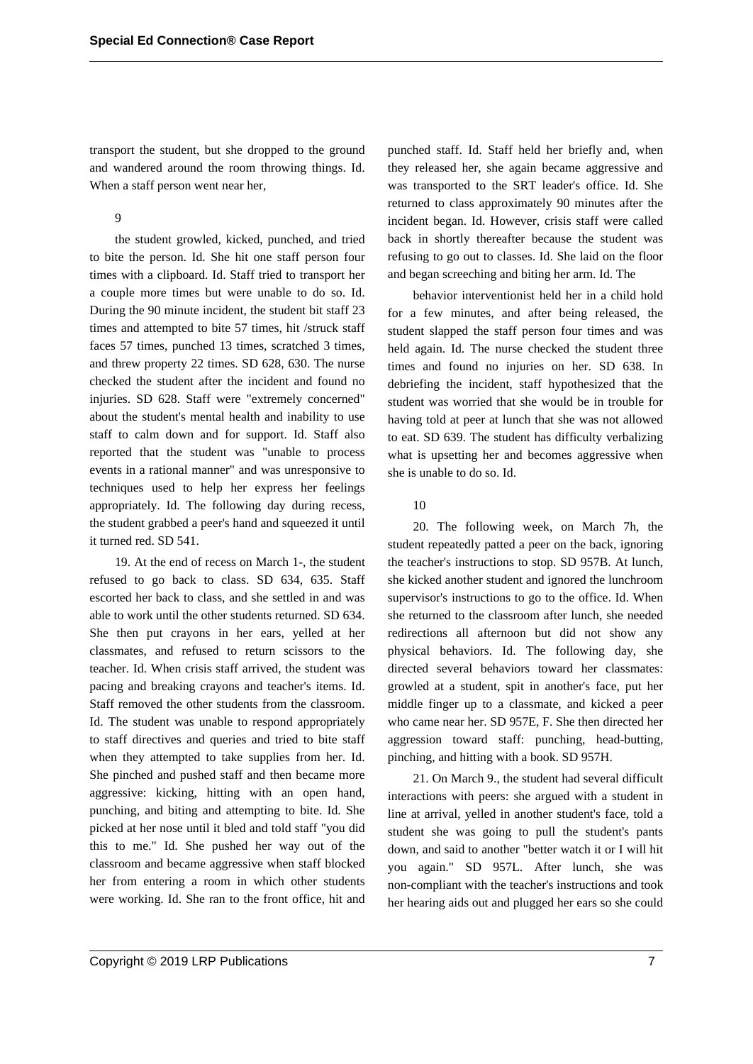transport the student, but she dropped to the ground and wandered around the room throwing things. Id. When a staff person went near her,

9

the student growled, kicked, punched, and tried to bite the person. Id. She hit one staff person four times with a clipboard. Id. Staff tried to transport her a couple more times but were unable to do so. Id. During the 90 minute incident, the student bit staff 23 times and attempted to bite 57 times, hit /struck staff faces 57 times, punched 13 times, scratched 3 times, and threw property 22 times. SD 628, 630. The nurse checked the student after the incident and found no injuries. SD 628. Staff were "extremely concerned" about the student's mental health and inability to use staff to calm down and for support. Id. Staff also reported that the student was "unable to process events in a rational manner" and was unresponsive to techniques used to help her express her feelings appropriately. Id. The following day during recess, the student grabbed a peer's hand and squeezed it until it turned red. SD 541.

19. At the end of recess on March 1-, the student refused to go back to class. SD 634, 635. Staff escorted her back to class, and she settled in and was able to work until the other students returned. SD 634. She then put crayons in her ears, yelled at her classmates, and refused to return scissors to the teacher. Id. When crisis staff arrived, the student was pacing and breaking crayons and teacher's items. Id. Staff removed the other students from the classroom. Id. The student was unable to respond appropriately to staff directives and queries and tried to bite staff when they attempted to take supplies from her. Id. She pinched and pushed staff and then became more aggressive: kicking, hitting with an open hand, punching, and biting and attempting to bite. Id. She picked at her nose until it bled and told staff "you did this to me." Id. She pushed her way out of the classroom and became aggressive when staff blocked her from entering a room in which other students were working. Id. She ran to the front office, hit and

punched staff. Id. Staff held her briefly and, when they released her, she again became aggressive and was transported to the SRT leader's office. Id. She returned to class approximately 90 minutes after the incident began. Id. However, crisis staff were called back in shortly thereafter because the student was refusing to go out to classes. Id. She laid on the floor and began screeching and biting her arm. Id. The

behavior interventionist held her in a child hold for a few minutes, and after being released, the student slapped the staff person four times and was held again. Id. The nurse checked the student three times and found no injuries on her. SD 638. In debriefing the incident, staff hypothesized that the student was worried that she would be in trouble for having told at peer at lunch that she was not allowed to eat. SD 639. The student has difficulty verbalizing what is upsetting her and becomes aggressive when she is unable to do so. Id.

## 10

20. The following week, on March 7h, the student repeatedly patted a peer on the back, ignoring the teacher's instructions to stop. SD 957B. At lunch, she kicked another student and ignored the lunchroom supervisor's instructions to go to the office. Id. When she returned to the classroom after lunch, she needed redirections all afternoon but did not show any physical behaviors. Id. The following day, she directed several behaviors toward her classmates: growled at a student, spit in another's face, put her middle finger up to a classmate, and kicked a peer who came near her. SD 957E, F. She then directed her aggression toward staff: punching, head-butting, pinching, and hitting with a book. SD 957H.

21. On March 9., the student had several difficult interactions with peers: she argued with a student in line at arrival, yelled in another student's face, told a student she was going to pull the student's pants down, and said to another "better watch it or I will hit you again." SD 957L. After lunch, she was non-compliant with the teacher's instructions and took her hearing aids out and plugged her ears so she could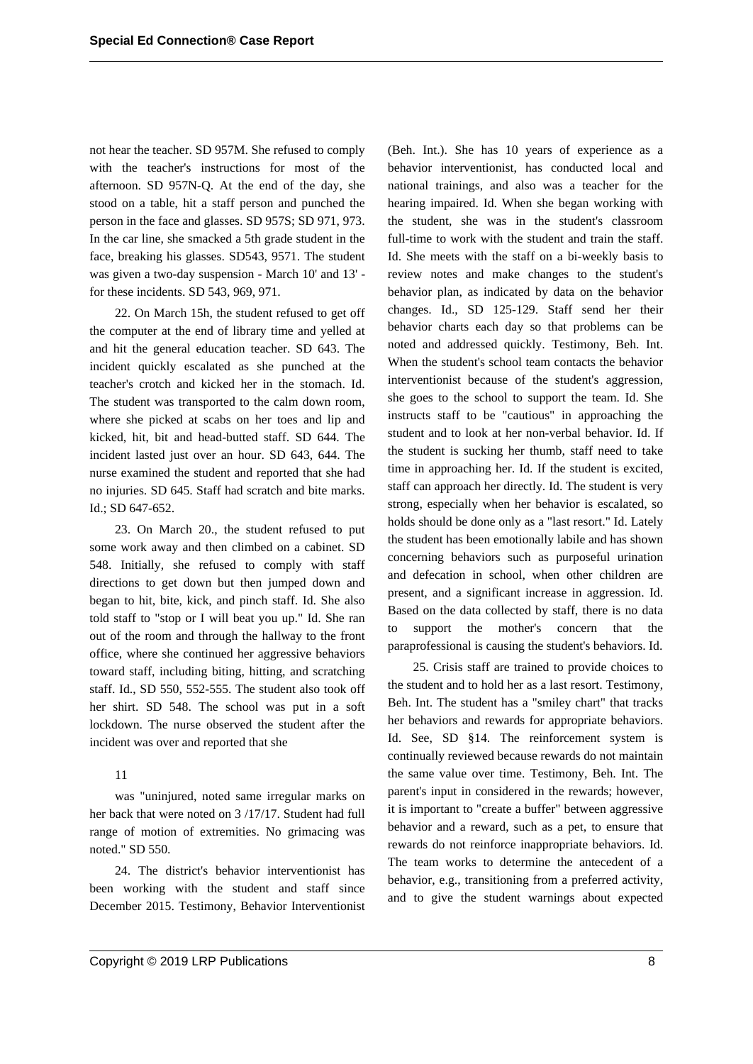not hear the teacher. SD 957M. She refused to comply with the teacher's instructions for most of the afternoon. SD 957N-Q. At the end of the day, she stood on a table, hit a staff person and punched the person in the face and glasses. SD 957S; SD 971, 973. In the car line, she smacked a 5th grade student in the face, breaking his glasses. SD543, 9571. The student was given a two-day suspension - March 10' and 13' for these incidents. SD 543, 969, 971.

22. On March 15h, the student refused to get off the computer at the end of library time and yelled at and hit the general education teacher. SD 643. The incident quickly escalated as she punched at the teacher's crotch and kicked her in the stomach. Id. The student was transported to the calm down room, where she picked at scabs on her toes and lip and kicked, hit, bit and head-butted staff. SD 644. The incident lasted just over an hour. SD 643, 644. The nurse examined the student and reported that she had no injuries. SD 645. Staff had scratch and bite marks. Id.; SD 647-652.

23. On March 20., the student refused to put some work away and then climbed on a cabinet. SD 548. Initially, she refused to comply with staff directions to get down but then jumped down and began to hit, bite, kick, and pinch staff. Id. She also told staff to "stop or I will beat you up." Id. She ran out of the room and through the hallway to the front office, where she continued her aggressive behaviors toward staff, including biting, hitting, and scratching staff. Id., SD 550, 552-555. The student also took off her shirt. SD 548. The school was put in a soft lockdown. The nurse observed the student after the incident was over and reported that she

# 11

was "uninjured, noted same irregular marks on her back that were noted on 3 /17/17. Student had full range of motion of extremities. No grimacing was noted." SD 550.

24. The district's behavior interventionist has been working with the student and staff since December 2015. Testimony, Behavior Interventionist

(Beh. Int.). She has 10 years of experience as a behavior interventionist, has conducted local and national trainings, and also was a teacher for the hearing impaired. Id. When she began working with the student, she was in the student's classroom full-time to work with the student and train the staff. Id. She meets with the staff on a bi-weekly basis to review notes and make changes to the student's behavior plan, as indicated by data on the behavior changes. Id., SD 125-129. Staff send her their behavior charts each day so that problems can be noted and addressed quickly. Testimony, Beh. Int. When the student's school team contacts the behavior interventionist because of the student's aggression, she goes to the school to support the team. Id. She instructs staff to be "cautious" in approaching the student and to look at her non-verbal behavior. Id. If the student is sucking her thumb, staff need to take time in approaching her. Id. If the student is excited, staff can approach her directly. Id. The student is very strong, especially when her behavior is escalated, so holds should be done only as a "last resort." Id. Lately the student has been emotionally labile and has shown concerning behaviors such as purposeful urination and defecation in school, when other children are present, and a significant increase in aggression. Id. Based on the data collected by staff, there is no data to support the mother's concern that the paraprofessional is causing the student's behaviors. Id.

25. Crisis staff are trained to provide choices to the student and to hold her as a last resort. Testimony, Beh. Int. The student has a "smiley chart" that tracks her behaviors and rewards for appropriate behaviors. Id. See, SD §14. The reinforcement system is continually reviewed because rewards do not maintain the same value over time. Testimony, Beh. Int. The parent's input in considered in the rewards; however, it is important to "create a buffer" between aggressive behavior and a reward, such as a pet, to ensure that rewards do not reinforce inappropriate behaviors. Id. The team works to determine the antecedent of a behavior, e.g., transitioning from a preferred activity, and to give the student warnings about expected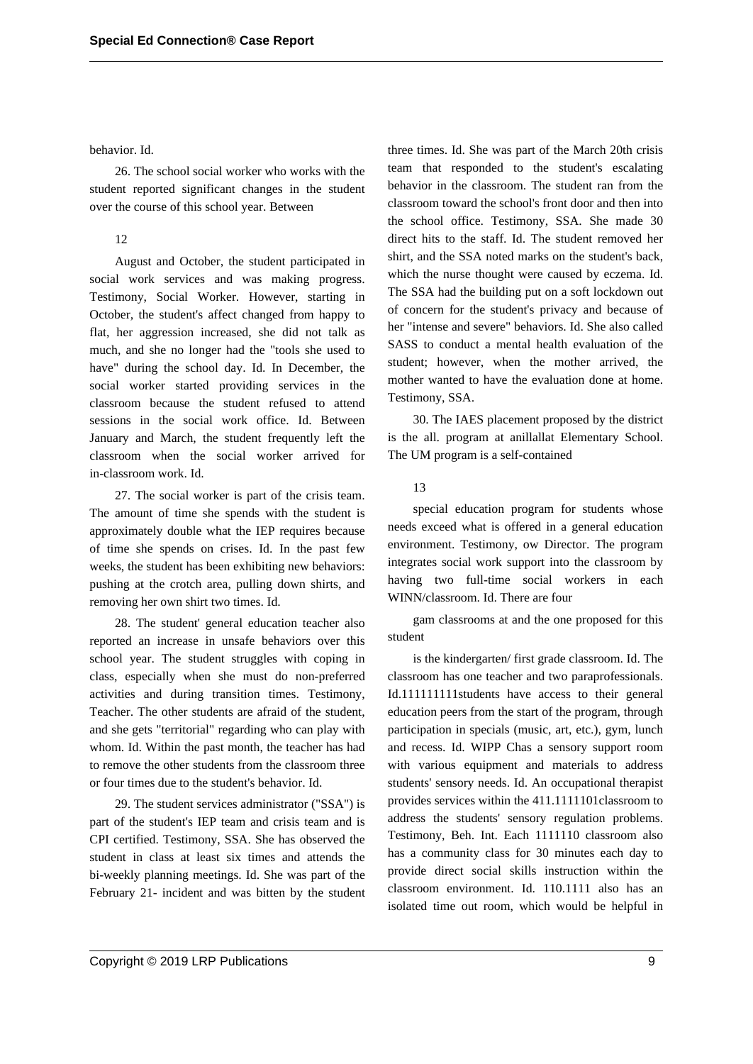#### behavior. Id.

26. The school social worker who works with the student reported significant changes in the student over the course of this school year. Between

## 12

August and October, the student participated in social work services and was making progress. Testimony, Social Worker. However, starting in October, the student's affect changed from happy to flat, her aggression increased, she did not talk as much, and she no longer had the "tools she used to have" during the school day. Id. In December, the social worker started providing services in the classroom because the student refused to attend sessions in the social work office. Id. Between January and March, the student frequently left the classroom when the social worker arrived for in-classroom work. Id.

27. The social worker is part of the crisis team. The amount of time she spends with the student is approximately double what the IEP requires because of time she spends on crises. Id. In the past few weeks, the student has been exhibiting new behaviors: pushing at the crotch area, pulling down shirts, and removing her own shirt two times. Id.

28. The student' general education teacher also reported an increase in unsafe behaviors over this school year. The student struggles with coping in class, especially when she must do non-preferred activities and during transition times. Testimony, Teacher. The other students are afraid of the student, and she gets "territorial" regarding who can play with whom. Id. Within the past month, the teacher has had to remove the other students from the classroom three or four times due to the student's behavior. Id.

29. The student services administrator ("SSA") is part of the student's IEP team and crisis team and is CPI certified. Testimony, SSA. She has observed the student in class at least six times and attends the bi-weekly planning meetings. Id. She was part of the February 21- incident and was bitten by the student three times. Id. She was part of the March 20th crisis team that responded to the student's escalating behavior in the classroom. The student ran from the classroom toward the school's front door and then into the school office. Testimony, SSA. She made 30 direct hits to the staff. Id. The student removed her shirt, and the SSA noted marks on the student's back, which the nurse thought were caused by eczema. Id. The SSA had the building put on a soft lockdown out of concern for the student's privacy and because of her "intense and severe" behaviors. Id. She also called SASS to conduct a mental health evaluation of the student; however, when the mother arrived, the mother wanted to have the evaluation done at home. Testimony, SSA.

30. The IAES placement proposed by the district is the all. program at anillallat Elementary School. The UM program is a self-contained

#### 13

special education program for students whose needs exceed what is offered in a general education environment. Testimony, ow Director. The program integrates social work support into the classroom by having two full-time social workers in each WINN/classroom. Id. There are four

gam classrooms at and the one proposed for this student

is the kindergarten/ first grade classroom. Id. The classroom has one teacher and two paraprofessionals. Id.111111111students have access to their general education peers from the start of the program, through participation in specials (music, art, etc.), gym, lunch and recess. Id. WIPP Chas a sensory support room with various equipment and materials to address students' sensory needs. Id. An occupational therapist provides services within the 411.1111101classroom to address the students' sensory regulation problems. Testimony, Beh. Int. Each 1111110 classroom also has a community class for 30 minutes each day to provide direct social skills instruction within the classroom environment. Id. 110.1111 also has an isolated time out room, which would be helpful in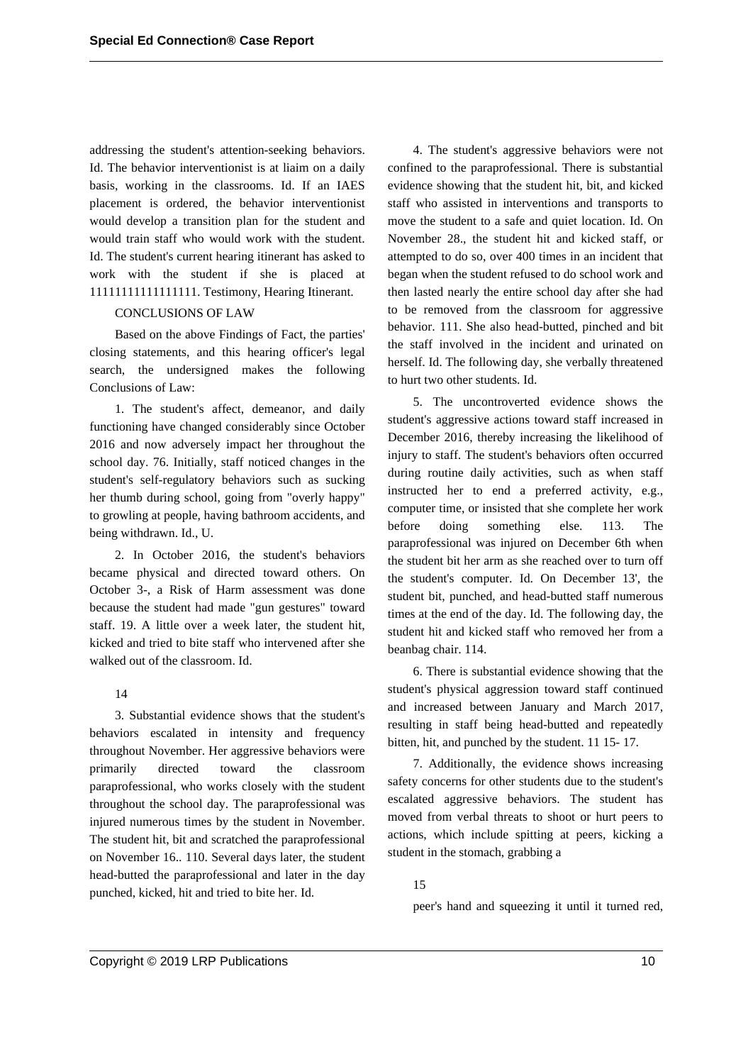addressing the student's attention-seeking behaviors. Id. The behavior interventionist is at liaim on a daily basis, working in the classrooms. Id. If an IAES placement is ordered, the behavior interventionist would develop a transition plan for the student and would train staff who would work with the student. Id. The student's current hearing itinerant has asked to work with the student if she is placed at 11111111111111111. Testimony, Hearing Itinerant.

# CONCLUSIONS OF LAW

Based on the above Findings of Fact, the parties' closing statements, and this hearing officer's legal search, the undersigned makes the following Conclusions of Law:

1. The student's affect, demeanor, and daily functioning have changed considerably since October 2016 and now adversely impact her throughout the school day. 76. Initially, staff noticed changes in the student's self-regulatory behaviors such as sucking her thumb during school, going from "overly happy" to growling at people, having bathroom accidents, and being withdrawn. Id., U.

2. In October 2016, the student's behaviors became physical and directed toward others. On October 3-, a Risk of Harm assessment was done because the student had made "gun gestures" toward staff. 19. A little over a week later, the student hit, kicked and tried to bite staff who intervened after she walked out of the classroom. Id.

# 14

3. Substantial evidence shows that the student's behaviors escalated in intensity and frequency throughout November. Her aggressive behaviors were primarily directed toward the classroom paraprofessional, who works closely with the student throughout the school day. The paraprofessional was injured numerous times by the student in November. The student hit, bit and scratched the paraprofessional on November 16.. 110. Several days later, the student head-butted the paraprofessional and later in the day punched, kicked, hit and tried to bite her. Id.

4. The student's aggressive behaviors were not confined to the paraprofessional. There is substantial evidence showing that the student hit, bit, and kicked staff who assisted in interventions and transports to move the student to a safe and quiet location. Id. On November 28., the student hit and kicked staff, or attempted to do so, over 400 times in an incident that began when the student refused to do school work and then lasted nearly the entire school day after she had to be removed from the classroom for aggressive behavior. 111. She also head-butted, pinched and bit the staff involved in the incident and urinated on herself. Id. The following day, she verbally threatened to hurt two other students. Id.

5. The uncontroverted evidence shows the student's aggressive actions toward staff increased in December 2016, thereby increasing the likelihood of injury to staff. The student's behaviors often occurred during routine daily activities, such as when staff instructed her to end a preferred activity, e.g., computer time, or insisted that she complete her work before doing something else. 113. The paraprofessional was injured on December 6th when the student bit her arm as she reached over to turn off the student's computer. Id. On December 13', the student bit, punched, and head-butted staff numerous times at the end of the day. Id. The following day, the student hit and kicked staff who removed her from a beanbag chair. 114.

6. There is substantial evidence showing that the student's physical aggression toward staff continued and increased between January and March 2017, resulting in staff being head-butted and repeatedly bitten, hit, and punched by the student. 11 15- 17.

7. Additionally, the evidence shows increasing safety concerns for other students due to the student's escalated aggressive behaviors. The student has moved from verbal threats to shoot or hurt peers to actions, which include spitting at peers, kicking a student in the stomach, grabbing a

## 15

peer's hand and squeezing it until it turned red,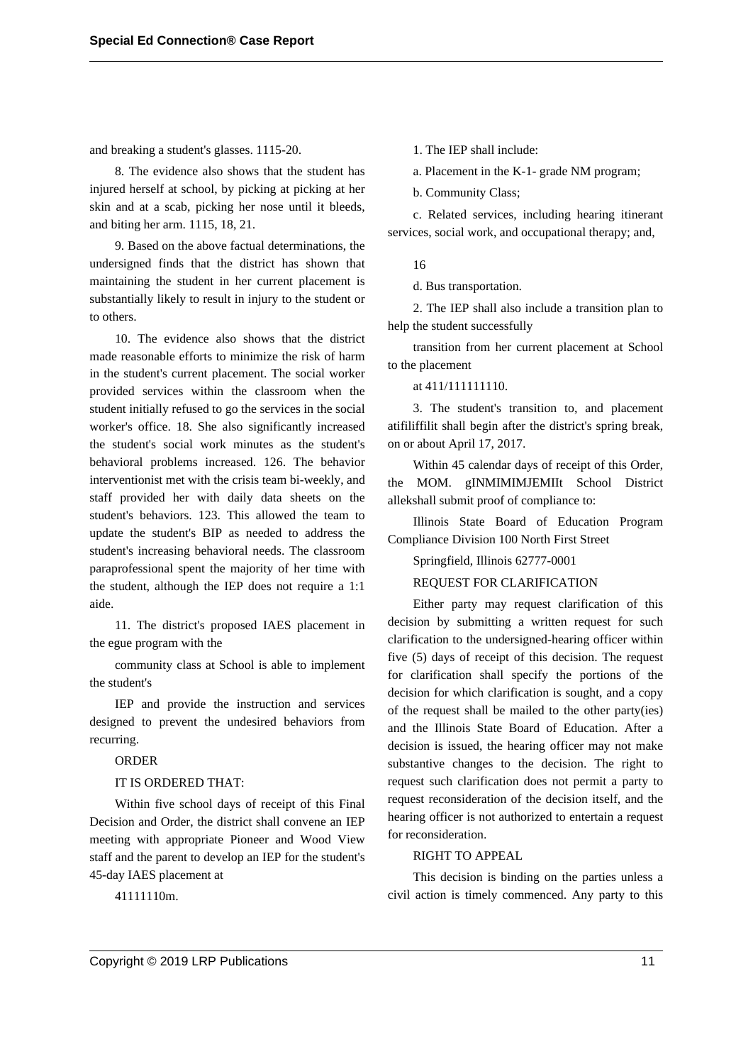and breaking a student's glasses. 1115-20.

8. The evidence also shows that the student has injured herself at school, by picking at picking at her skin and at a scab, picking her nose until it bleeds, and biting her arm. 1115, 18, 21.

9. Based on the above factual determinations, the undersigned finds that the district has shown that maintaining the student in her current placement is substantially likely to result in injury to the student or to others.

10. The evidence also shows that the district made reasonable efforts to minimize the risk of harm in the student's current placement. The social worker provided services within the classroom when the student initially refused to go the services in the social worker's office. 18. She also significantly increased the student's social work minutes as the student's behavioral problems increased. 126. The behavior interventionist met with the crisis team bi-weekly, and staff provided her with daily data sheets on the student's behaviors. 123. This allowed the team to update the student's BIP as needed to address the student's increasing behavioral needs. The classroom paraprofessional spent the majority of her time with the student, although the IEP does not require a 1:1 aide.

11. The district's proposed IAES placement in the egue program with the

community class at School is able to implement the student's

IEP and provide the instruction and services designed to prevent the undesired behaviors from recurring.

# ORDER

#### IT IS ORDERED THAT:

Within five school days of receipt of this Final Decision and Order, the district shall convene an IEP meeting with appropriate Pioneer and Wood View staff and the parent to develop an IEP for the student's 45-day IAES placement at

41111110m.

1. The IEP shall include:

a. Placement in the K-1- grade NM program;

b. Community Class;

c. Related services, including hearing itinerant services, social work, and occupational therapy; and,

16

d. Bus transportation.

2. The IEP shall also include a transition plan to help the student successfully

transition from her current placement at School to the placement

at 411/111111110.

3. The student's transition to, and placement atifiliffilit shall begin after the district's spring break, on or about April 17, 2017.

Within 45 calendar days of receipt of this Order, the MOM. gINMIMIMJEMIIt School District allekshall submit proof of compliance to:

Illinois State Board of Education Program Compliance Division 100 North First Street

Springfield, Illinois 62777-0001

REQUEST FOR CLARIFICATION

Either party may request clarification of this decision by submitting a written request for such clarification to the undersigned-hearing officer within five (5) days of receipt of this decision. The request for clarification shall specify the portions of the decision for which clarification is sought, and a copy of the request shall be mailed to the other party(ies) and the Illinois State Board of Education. After a decision is issued, the hearing officer may not make substantive changes to the decision. The right to request such clarification does not permit a party to request reconsideration of the decision itself, and the hearing officer is not authorized to entertain a request for reconsideration.

RIGHT TO APPEAL

This decision is binding on the parties unless a civil action is timely commenced. Any party to this